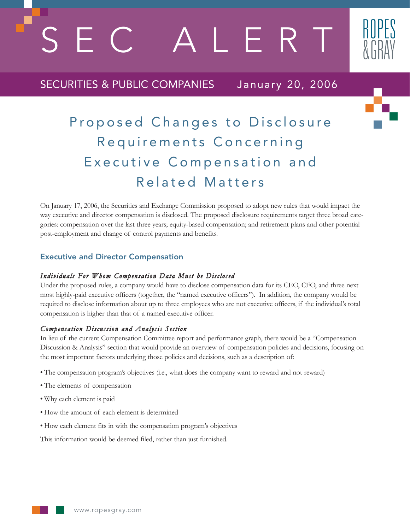SERT

# SECURITIES & PUBLIC COMPANIES January 20, 2006



On January 17, 2006, the Securities and Exchange Commission proposed to adopt new rules that would impact the way executive and director compensation is disclosed. The proposed disclosure requirements target three broad categories: compensation over the last three years; equity-based compensation; and retirement plans and other potential post-employment and change of control payments and benefits.

## Executive and Director Compensation

#### *Individuals For Whom Compensation Data Must be Disclosed*

Under the proposed rules, a company would have to disclose compensation data for its CEO, CFO, and three next most highly-paid executive officers (together, the "named executive officers"). In addition, the company would be required to disclose information about up to three employees who are not executive officers, if the individual's total compensation is higher than that of a named executive officer.

## *Compensation Discussion and Analysis Section*

In lieu of the current Compensation Committee report and performance graph, there would be a "Compensation Discussion & Analysis" section that would provide an overview of compensation policies and decisions, focusing on the most important factors underlying those policies and decisions, such as a description of:

- The compensation program's objectives (i.e., what does the company want to reward and not reward)
- The elements of compensation
- Why each element is paid
- How the amount of each element is determined
- How each element fits in with the compensation program's objectives

This information would be deemed filed, rather than just furnished.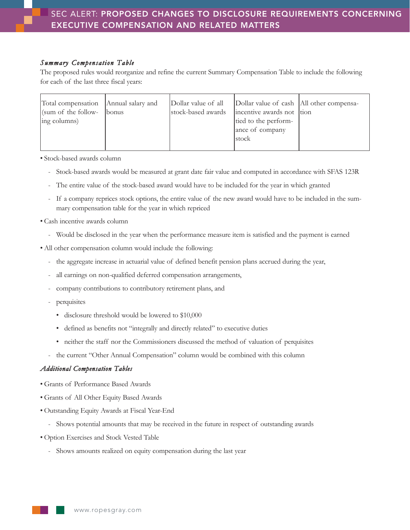#### *Summary Compensation Table*

The proposed rules would reorganize and refine the current Summary Compensation Table to include the following for each of the last three fiscal years:

| Total compensation Annual salary and |              | Dollar value of all | Dollar value of cash All other compensa- |  |
|--------------------------------------|--------------|---------------------|------------------------------------------|--|
| (sum of the follow-                  | <i>bonus</i> | stock-based awards  | incentive awards not tion                |  |
| ing columns)                         |              |                     | tied to the perform-                     |  |
|                                      |              |                     | ance of company                          |  |
|                                      |              |                     | lstock                                   |  |
|                                      |              |                     |                                          |  |

• Stock-based awards column

- Stock-based awards would be measured at grant date fair value and computed in accordance with SFAS 123R
- The entire value of the stock-based award would have to be included for the year in which granted
- If a company reprices stock options, the entire value of the new award would have to be included in the summary compensation table for the year in which repriced
- Cash incentive awards column
	- Would be disclosed in the year when the performance measure item is satisfied and the payment is earned
- All other compensation column would include the following:
	- the aggregate increase in actuarial value of defined benefit pension plans accrued during the year,
	- all earnings on non-qualified deferred compensation arrangements,
	- company contributions to contributory retirement plans, and
	- perquisites
		- disclosure threshold would be lowered to \$10,000
		- defined as benefits not "integrally and directly related" to executive duties
		- neither the staff nor the Commissioners discussed the method of valuation of perquisites
	- the current "Other Annual Compensation" column would be combined with this column

#### *Additional Compensation Tables*

- Grants of Performance Based Awards
- Grants of All Other Equity Based Awards
- Outstanding Equity Awards at Fiscal Year-End
	- Shows potential amounts that may be received in the future in respect of outstanding awards
- Option Exercises and Stock Vested Table
	- Shows amounts realized on equity compensation during the last year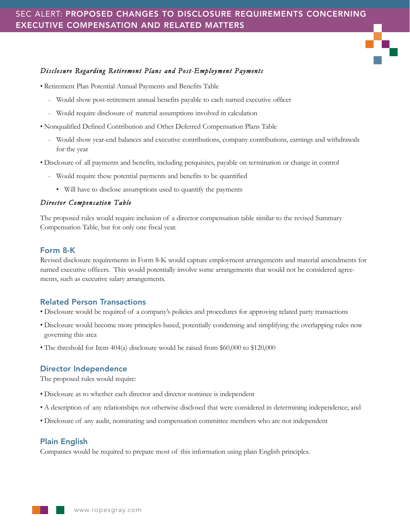## SEC ALERT: PROPOSED CHANGES TO DISCLOSURE REQUIREMENTS CONCERNING EXECUTIVE COMPENSATION AND RELATED MATTERS

## *Disclosure Regarding Retirement Plans and Post-Employment Payments*

• Retirement Plan Potential Annual Payments and Benefits Table

- Would show post-retirement annual benefits payable to each named executive officer
- Would require disclosure of material assumptions involved in calculation
- Nonqualified Defined Contribution and Other Deferred Compensation Plans Table
	- Would show year-end balances and executive contributions, company contributions, earnings and withdrawals for the year
- Disclosure of all payments and benefits, including perquisites, payable on termination or change in control
	- Would require these potential payments and benefits to be quantified
		- Will have to disclose assumptions used to quantify the payments

## *Director Compensation Table*

The proposed rules would require inclusion of a director compensation table similar to the revised Summary Compensation Table, but for only one fiscal year.

## Form 8-K

Revised disclosure requirements in Form 8-K would capture employment arrangements and material amendments for named executive officers. This would potentially involve some arrangements that would not be considered agreements, such as executive salary arrangements.

## Related Person Transactions

- Disclosure would be required of a company's policies and procedures for approving related party transactions
- Disclosure would become more principles-based, potentially condensing and simplifying the overlapping rules now governing this area
- The threshold for Item 404(a) disclosure would be raised from \$60,000 to \$120,000

## Director Independence

The proposed rules would require:

- Disclosure as to whether each director and director nominee is independent
- A description of any relationships not otherwise disclosed that were considered in determining independence; and
- Disclosure of any audit, nominating and compensation committee members who are not independent

## Plain English

Companies would be required to prepare most of this information using plain English principles.